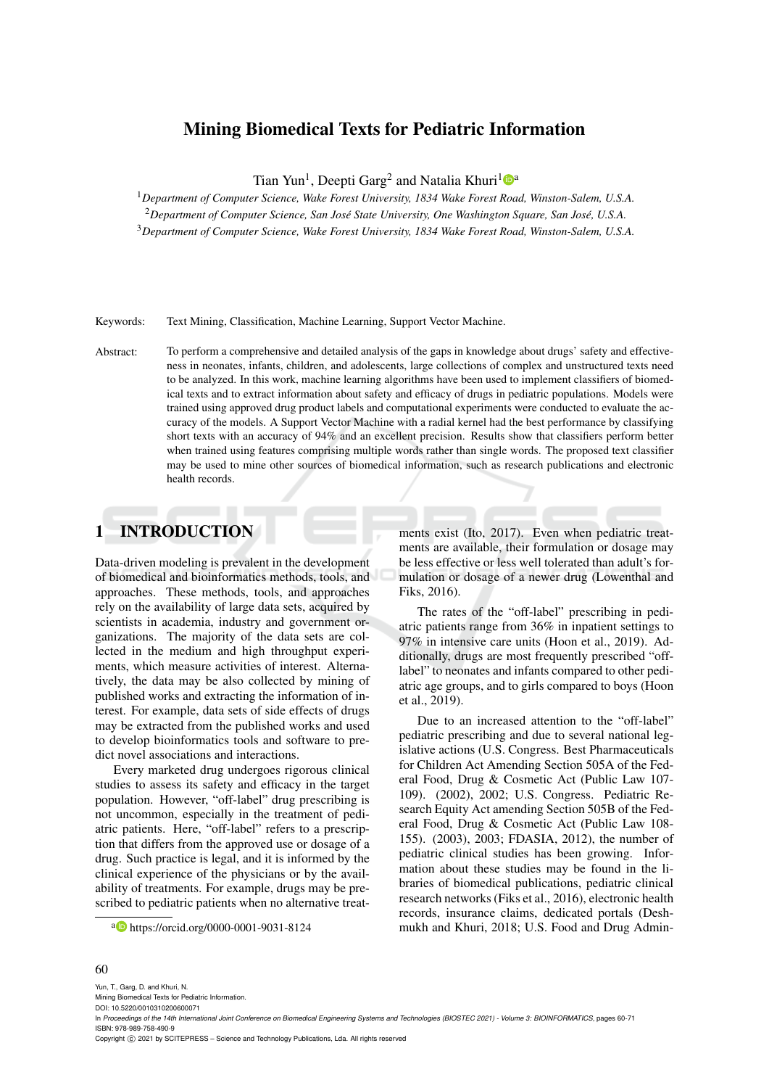# Mining Biomedical Texts for Pediatric Information

Tian Yun<sup>1</sup>, Deepti Garg<sup>2</sup> and Natalia Khuri<sup>1</sup><sup>®</sup>

<sup>1</sup>*Department of Computer Science, Wake Forest University, 1834 Wake Forest Road, Winston-Salem, U.S.A.*

<sup>2</sup>Department of Computer Science, San José State University, One Washington Square, San José, U.S.A.

<sup>3</sup>*Department of Computer Science, Wake Forest University, 1834 Wake Forest Road, Winston-Salem, U.S.A.*

Keywords: Text Mining, Classification, Machine Learning, Support Vector Machine.

Abstract: To perform a comprehensive and detailed analysis of the gaps in knowledge about drugs' safety and effectiveness in neonates, infants, children, and adolescents, large collections of complex and unstructured texts need to be analyzed. In this work, machine learning algorithms have been used to implement classifiers of biomedical texts and to extract information about safety and efficacy of drugs in pediatric populations. Models were trained using approved drug product labels and computational experiments were conducted to evaluate the accuracy of the models. A Support Vector Machine with a radial kernel had the best performance by classifying short texts with an accuracy of 94% and an excellent precision. Results show that classifiers perform better when trained using features comprising multiple words rather than single words. The proposed text classifier may be used to mine other sources of biomedical information, such as research publications and electronic health records.

# 1 INTRODUCTION

Data-driven modeling is prevalent in the development of biomedical and bioinformatics methods, tools, and approaches. These methods, tools, and approaches rely on the availability of large data sets, acquired by scientists in academia, industry and government organizations. The majority of the data sets are collected in the medium and high throughput experiments, which measure activities of interest. Alternatively, the data may be also collected by mining of published works and extracting the information of interest. For example, data sets of side effects of drugs may be extracted from the published works and used to develop bioinformatics tools and software to predict novel associations and interactions.

Every marketed drug undergoes rigorous clinical studies to assess its safety and efficacy in the target population. However, "off-label" drug prescribing is not uncommon, especially in the treatment of pediatric patients. Here, "off-label" refers to a prescription that differs from the approved use or dosage of a drug. Such practice is legal, and it is informed by the clinical experience of the physicians or by the availability of treatments. For example, drugs may be prescribed to pediatric patients when no alternative treat-

<sup>a</sup> https://orcid.org/0000-0001-9031-8124

ments exist (Ito, 2017). Even when pediatric treatments are available, their formulation or dosage may be less effective or less well tolerated than adult's formulation or dosage of a newer drug (Lowenthal and Fiks, 2016).

The rates of the "off-label" prescribing in pediatric patients range from 36% in inpatient settings to 97% in intensive care units (Hoon et al., 2019). Additionally, drugs are most frequently prescribed "offlabel" to neonates and infants compared to other pediatric age groups, and to girls compared to boys (Hoon et al., 2019).

Due to an increased attention to the "off-label" pediatric prescribing and due to several national legislative actions (U.S. Congress. Best Pharmaceuticals for Children Act Amending Section 505A of the Federal Food, Drug & Cosmetic Act (Public Law 107- 109). (2002), 2002; U.S. Congress. Pediatric Research Equity Act amending Section 505B of the Federal Food, Drug & Cosmetic Act (Public Law 108- 155). (2003), 2003; FDASIA, 2012), the number of pediatric clinical studies has been growing. Information about these studies may be found in the libraries of biomedical publications, pediatric clinical research networks (Fiks et al., 2016), electronic health records, insurance claims, dedicated portals (Deshmukh and Khuri, 2018; U.S. Food and Drug Admin-

#### 60

Yun, T., Garg, D. and Khuri, N.

Mining Biomedical Texts for Pediatric Information. DOI: 10.5220/0010310200600071

Copyright (C) 2021 by SCITEPRESS - Science and Technology Publications, Lda. All rights reserved

In Proceedings of the 14th International Joint Conference on Biomedical Engineering Systems and Technologies (BIOSTEC 2021) - Volume 3: BIOINFORMATICS, pages 60-71 ISBN: 978-989-758-490-9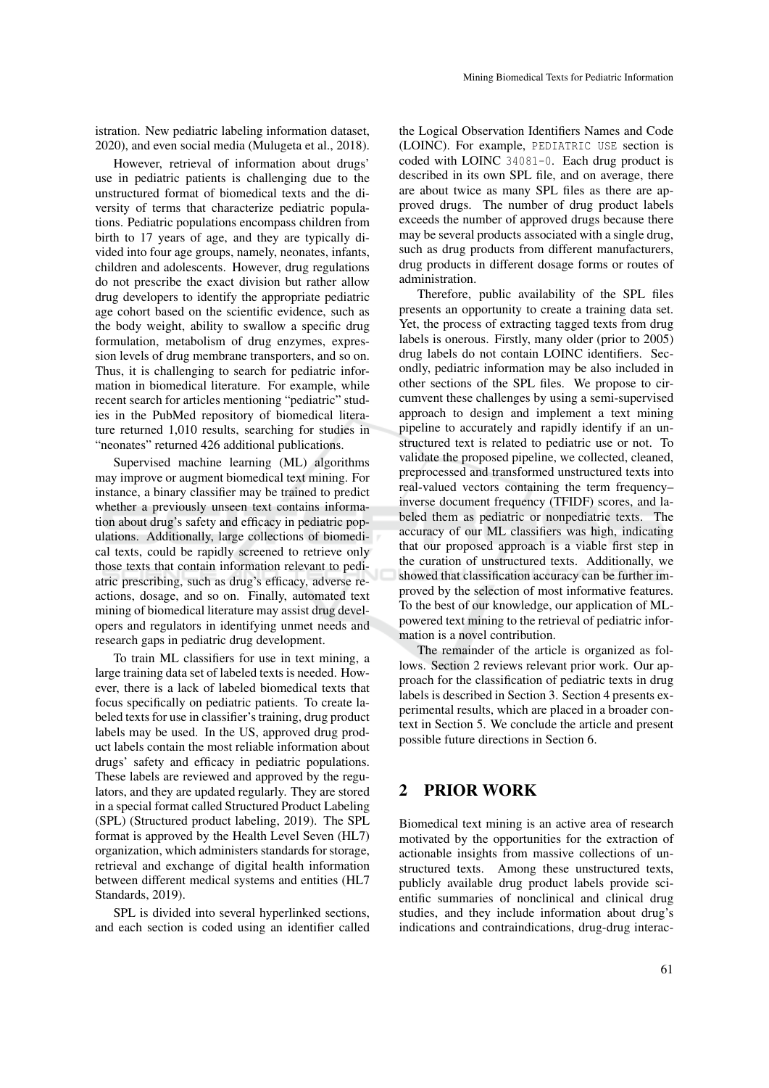istration. New pediatric labeling information dataset, 2020), and even social media (Mulugeta et al., 2018).

However, retrieval of information about drugs' use in pediatric patients is challenging due to the unstructured format of biomedical texts and the diversity of terms that characterize pediatric populations. Pediatric populations encompass children from birth to 17 years of age, and they are typically divided into four age groups, namely, neonates, infants, children and adolescents. However, drug regulations do not prescribe the exact division but rather allow drug developers to identify the appropriate pediatric age cohort based on the scientific evidence, such as the body weight, ability to swallow a specific drug formulation, metabolism of drug enzymes, expression levels of drug membrane transporters, and so on. Thus, it is challenging to search for pediatric information in biomedical literature. For example, while recent search for articles mentioning "pediatric" studies in the PubMed repository of biomedical literature returned 1,010 results, searching for studies in "neonates" returned 426 additional publications.

Supervised machine learning (ML) algorithms may improve or augment biomedical text mining. For instance, a binary classifier may be trained to predict whether a previously unseen text contains information about drug's safety and efficacy in pediatric populations. Additionally, large collections of biomedical texts, could be rapidly screened to retrieve only those texts that contain information relevant to pediatric prescribing, such as drug's efficacy, adverse reactions, dosage, and so on. Finally, automated text mining of biomedical literature may assist drug developers and regulators in identifying unmet needs and research gaps in pediatric drug development.

To train ML classifiers for use in text mining, a large training data set of labeled texts is needed. However, there is a lack of labeled biomedical texts that focus specifically on pediatric patients. To create labeled texts for use in classifier's training, drug product labels may be used. In the US, approved drug product labels contain the most reliable information about drugs' safety and efficacy in pediatric populations. These labels are reviewed and approved by the regulators, and they are updated regularly. They are stored in a special format called Structured Product Labeling (SPL) (Structured product labeling, 2019). The SPL format is approved by the Health Level Seven (HL7) organization, which administers standards for storage, retrieval and exchange of digital health information between different medical systems and entities (HL7 Standards, 2019).

SPL is divided into several hyperlinked sections, and each section is coded using an identifier called

the Logical Observation Identifiers Names and Code (LOINC). For example, PEDIATRIC USE section is coded with LOINC 34081-0. Each drug product is described in its own SPL file, and on average, there are about twice as many SPL files as there are approved drugs. The number of drug product labels exceeds the number of approved drugs because there may be several products associated with a single drug, such as drug products from different manufacturers, drug products in different dosage forms or routes of administration.

Therefore, public availability of the SPL files presents an opportunity to create a training data set. Yet, the process of extracting tagged texts from drug labels is onerous. Firstly, many older (prior to 2005) drug labels do not contain LOINC identifiers. Secondly, pediatric information may be also included in other sections of the SPL files. We propose to circumvent these challenges by using a semi-supervised approach to design and implement a text mining pipeline to accurately and rapidly identify if an unstructured text is related to pediatric use or not. To validate the proposed pipeline, we collected, cleaned, preprocessed and transformed unstructured texts into real-valued vectors containing the term frequency– inverse document frequency (TFIDF) scores, and labeled them as pediatric or nonpediatric texts. The accuracy of our ML classifiers was high, indicating that our proposed approach is a viable first step in the curation of unstructured texts. Additionally, we showed that classification accuracy can be further improved by the selection of most informative features. To the best of our knowledge, our application of MLpowered text mining to the retrieval of pediatric information is a novel contribution.

The remainder of the article is organized as follows. Section 2 reviews relevant prior work. Our approach for the classification of pediatric texts in drug labels is described in Section 3. Section 4 presents experimental results, which are placed in a broader context in Section 5. We conclude the article and present possible future directions in Section 6.

## 2 PRIOR WORK

Biomedical text mining is an active area of research motivated by the opportunities for the extraction of actionable insights from massive collections of unstructured texts. Among these unstructured texts, publicly available drug product labels provide scientific summaries of nonclinical and clinical drug studies, and they include information about drug's indications and contraindications, drug-drug interac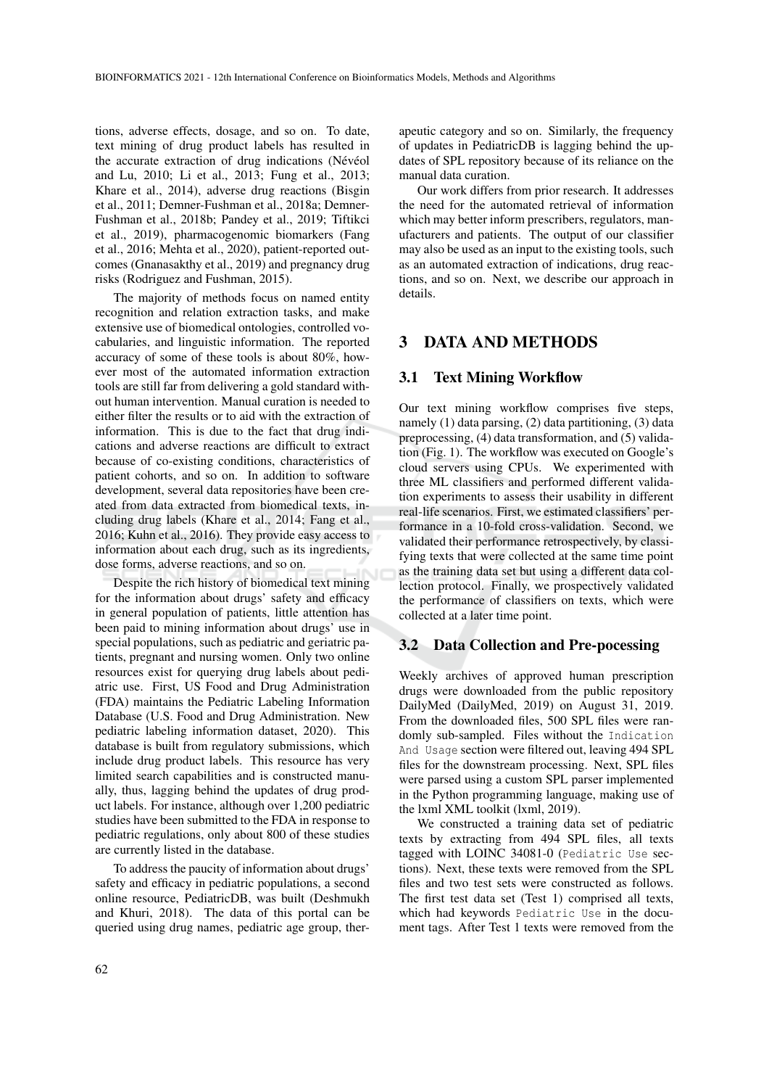tions, adverse effects, dosage, and so on. To date, text mining of drug product labels has resulted in the accurate extraction of drug indications (Névéol and Lu, 2010; Li et al., 2013; Fung et al., 2013; Khare et al., 2014), adverse drug reactions (Bisgin et al., 2011; Demner-Fushman et al., 2018a; Demner-Fushman et al., 2018b; Pandey et al., 2019; Tiftikci et al., 2019), pharmacogenomic biomarkers (Fang et al., 2016; Mehta et al., 2020), patient-reported outcomes (Gnanasakthy et al., 2019) and pregnancy drug risks (Rodriguez and Fushman, 2015).

The majority of methods focus on named entity recognition and relation extraction tasks, and make extensive use of biomedical ontologies, controlled vocabularies, and linguistic information. The reported accuracy of some of these tools is about 80%, however most of the automated information extraction tools are still far from delivering a gold standard without human intervention. Manual curation is needed to either filter the results or to aid with the extraction of information. This is due to the fact that drug indications and adverse reactions are difficult to extract because of co-existing conditions, characteristics of patient cohorts, and so on. In addition to software development, several data repositories have been created from data extracted from biomedical texts, including drug labels (Khare et al., 2014; Fang et al., 2016; Kuhn et al., 2016). They provide easy access to information about each drug, such as its ingredients, dose forms, adverse reactions, and so on.

Despite the rich history of biomedical text mining for the information about drugs' safety and efficacy in general population of patients, little attention has been paid to mining information about drugs' use in special populations, such as pediatric and geriatric patients, pregnant and nursing women. Only two online resources exist for querying drug labels about pediatric use. First, US Food and Drug Administration (FDA) maintains the Pediatric Labeling Information Database (U.S. Food and Drug Administration. New pediatric labeling information dataset, 2020). This database is built from regulatory submissions, which include drug product labels. This resource has very limited search capabilities and is constructed manually, thus, lagging behind the updates of drug product labels. For instance, although over 1,200 pediatric studies have been submitted to the FDA in response to pediatric regulations, only about 800 of these studies are currently listed in the database.

To address the paucity of information about drugs' safety and efficacy in pediatric populations, a second online resource, PediatricDB, was built (Deshmukh and Khuri, 2018). The data of this portal can be queried using drug names, pediatric age group, ther-

apeutic category and so on. Similarly, the frequency of updates in PediatricDB is lagging behind the updates of SPL repository because of its reliance on the manual data curation.

Our work differs from prior research. It addresses the need for the automated retrieval of information which may better inform prescribers, regulators, manufacturers and patients. The output of our classifier may also be used as an input to the existing tools, such as an automated extraction of indications, drug reactions, and so on. Next, we describe our approach in details.

# 3 DATA AND METHODS

## 3.1 Text Mining Workflow

Our text mining workflow comprises five steps, namely (1) data parsing, (2) data partitioning, (3) data preprocessing, (4) data transformation, and (5) validation (Fig. 1). The workflow was executed on Google's cloud servers using CPUs. We experimented with three ML classifiers and performed different validation experiments to assess their usability in different real-life scenarios. First, we estimated classifiers' performance in a 10-fold cross-validation. Second, we validated their performance retrospectively, by classifying texts that were collected at the same time point as the training data set but using a different data collection protocol. Finally, we prospectively validated the performance of classifiers on texts, which were collected at a later time point.

## 3.2 Data Collection and Pre-pocessing

Weekly archives of approved human prescription drugs were downloaded from the public repository DailyMed (DailyMed, 2019) on August 31, 2019. From the downloaded files, 500 SPL files were randomly sub-sampled. Files without the Indication And Usage section were filtered out, leaving 494 SPL files for the downstream processing. Next, SPL files were parsed using a custom SPL parser implemented in the Python programming language, making use of the lxml XML toolkit (lxml, 2019).

We constructed a training data set of pediatric texts by extracting from 494 SPL files, all texts tagged with LOINC 34081-0 (Pediatric Use sections). Next, these texts were removed from the SPL files and two test sets were constructed as follows. The first test data set (Test 1) comprised all texts, which had keywords Pediatric Use in the document tags. After Test 1 texts were removed from the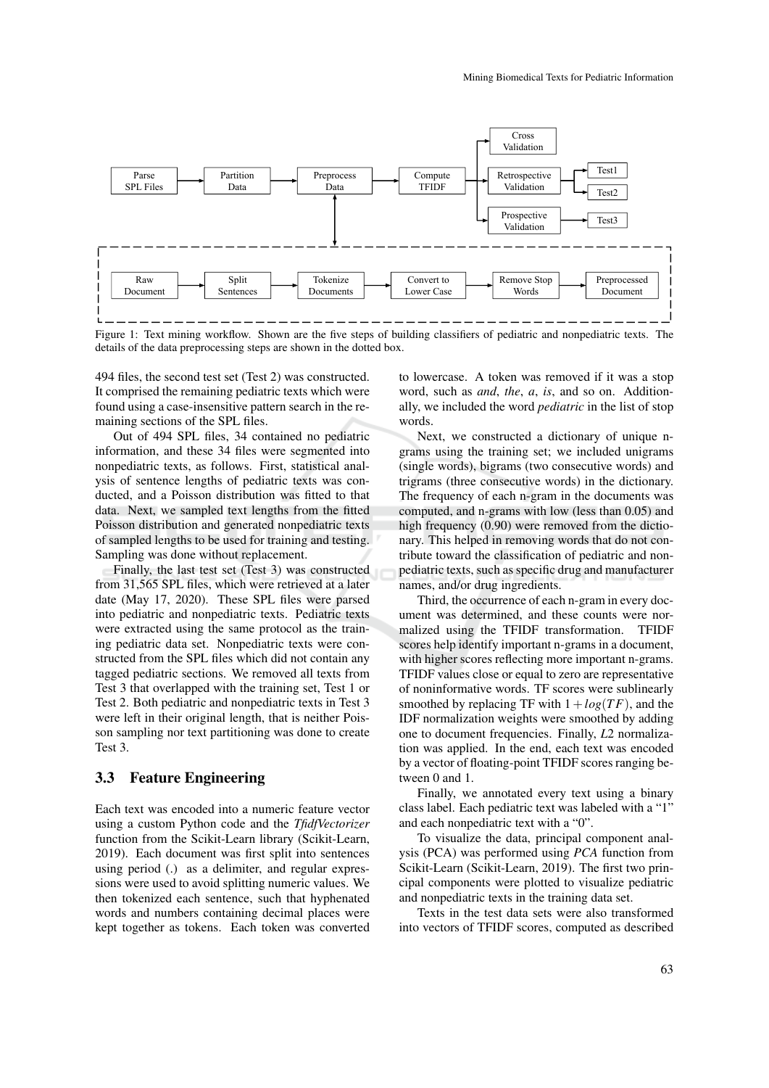

Figure 1: Text mining workflow. Shown are the five steps of building classifiers of pediatric and nonpediatric texts. The details of the data preprocessing steps are shown in the dotted box.

494 files, the second test set (Test 2) was constructed. It comprised the remaining pediatric texts which were found using a case-insensitive pattern search in the remaining sections of the SPL files.

Out of 494 SPL files, 34 contained no pediatric information, and these 34 files were segmented into nonpediatric texts, as follows. First, statistical analysis of sentence lengths of pediatric texts was conducted, and a Poisson distribution was fitted to that data. Next, we sampled text lengths from the fitted Poisson distribution and generated nonpediatric texts of sampled lengths to be used for training and testing. Sampling was done without replacement.

Finally, the last test set (Test 3) was constructed from 31,565 SPL files, which were retrieved at a later date (May 17, 2020). These SPL files were parsed into pediatric and nonpediatric texts. Pediatric texts were extracted using the same protocol as the training pediatric data set. Nonpediatric texts were constructed from the SPL files which did not contain any tagged pediatric sections. We removed all texts from Test 3 that overlapped with the training set, Test 1 or Test 2. Both pediatric and nonpediatric texts in Test 3 were left in their original length, that is neither Poisson sampling nor text partitioning was done to create Test 3.

## 3.3 Feature Engineering

Each text was encoded into a numeric feature vector using a custom Python code and the *TfidfVectorizer* function from the Scikit-Learn library (Scikit-Learn, 2019). Each document was first split into sentences using period (.) as a delimiter, and regular expressions were used to avoid splitting numeric values. We then tokenized each sentence, such that hyphenated words and numbers containing decimal places were kept together as tokens. Each token was converted to lowercase. A token was removed if it was a stop word, such as *and*, *the*, *a*, *is*, and so on. Additionally, we included the word *pediatric* in the list of stop words.

Next, we constructed a dictionary of unique ngrams using the training set; we included unigrams (single words), bigrams (two consecutive words) and trigrams (three consecutive words) in the dictionary. The frequency of each n-gram in the documents was computed, and n-grams with low (less than 0.05) and high frequency (0.90) were removed from the dictionary. This helped in removing words that do not contribute toward the classification of pediatric and nonpediatric texts, such as specific drug and manufacturer names, and/or drug ingredients.

Third, the occurrence of each n-gram in every document was determined, and these counts were normalized using the TFIDF transformation. TFIDF scores help identify important n-grams in a document, with higher scores reflecting more important n-grams. TFIDF values close or equal to zero are representative of noninformative words. TF scores were sublinearly smoothed by replacing TF with  $1+log(TF)$ , and the IDF normalization weights were smoothed by adding one to document frequencies. Finally, *L*2 normalization was applied. In the end, each text was encoded by a vector of floating-point TFIDF scores ranging between 0 and 1.

Finally, we annotated every text using a binary class label. Each pediatric text was labeled with a "1" and each nonpediatric text with a "0".

To visualize the data, principal component analysis (PCA) was performed using *PCA* function from Scikit-Learn (Scikit-Learn, 2019). The first two principal components were plotted to visualize pediatric and nonpediatric texts in the training data set.

Texts in the test data sets were also transformed into vectors of TFIDF scores, computed as described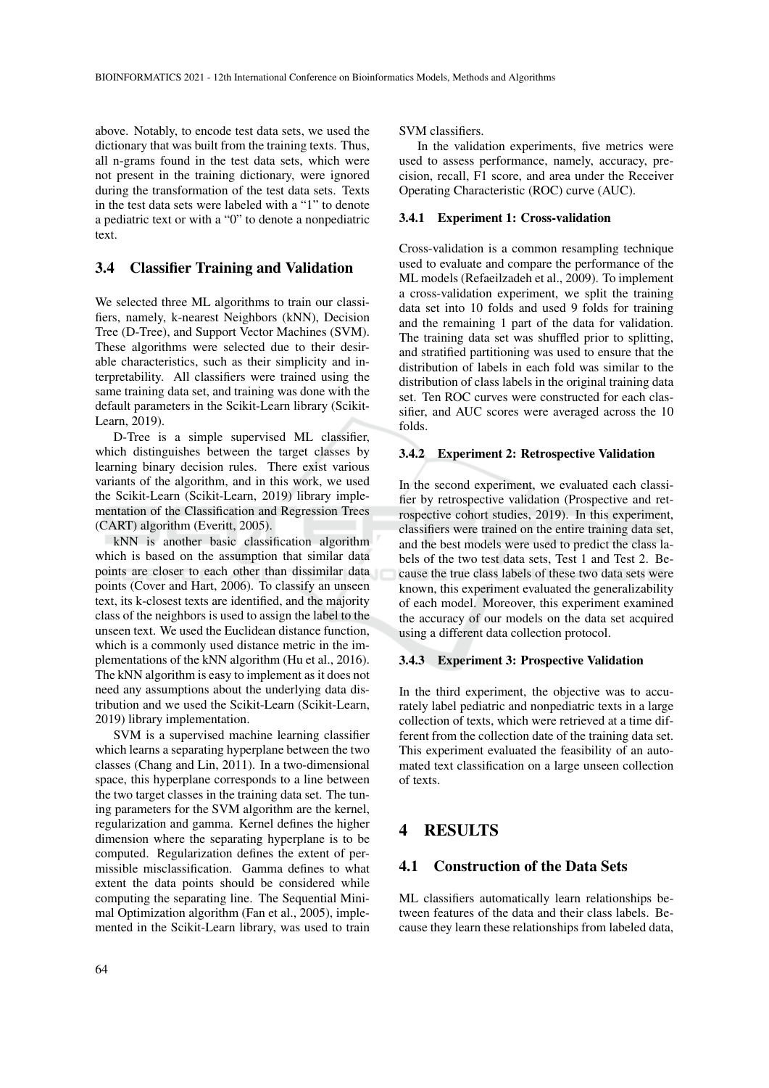above. Notably, to encode test data sets, we used the dictionary that was built from the training texts. Thus, all n-grams found in the test data sets, which were not present in the training dictionary, were ignored during the transformation of the test data sets. Texts in the test data sets were labeled with a "1" to denote a pediatric text or with a "0" to denote a nonpediatric text.

### 3.4 Classifier Training and Validation

We selected three ML algorithms to train our classifiers, namely, k-nearest Neighbors (kNN), Decision Tree (D-Tree), and Support Vector Machines (SVM). These algorithms were selected due to their desirable characteristics, such as their simplicity and interpretability. All classifiers were trained using the same training data set, and training was done with the default parameters in the Scikit-Learn library (Scikit-Learn, 2019).

D-Tree is a simple supervised ML classifier, which distinguishes between the target classes by learning binary decision rules. There exist various variants of the algorithm, and in this work, we used the Scikit-Learn (Scikit-Learn, 2019) library implementation of the Classification and Regression Trees (CART) algorithm (Everitt, 2005).

kNN is another basic classification algorithm which is based on the assumption that similar data points are closer to each other than dissimilar data points (Cover and Hart, 2006). To classify an unseen text, its k-closest texts are identified, and the majority class of the neighbors is used to assign the label to the unseen text. We used the Euclidean distance function, which is a commonly used distance metric in the implementations of the kNN algorithm (Hu et al., 2016). The kNN algorithm is easy to implement as it does not need any assumptions about the underlying data distribution and we used the Scikit-Learn (Scikit-Learn, 2019) library implementation.

SVM is a supervised machine learning classifier which learns a separating hyperplane between the two classes (Chang and Lin, 2011). In a two-dimensional space, this hyperplane corresponds to a line between the two target classes in the training data set. The tuning parameters for the SVM algorithm are the kernel, regularization and gamma. Kernel defines the higher dimension where the separating hyperplane is to be computed. Regularization defines the extent of permissible misclassification. Gamma defines to what extent the data points should be considered while computing the separating line. The Sequential Minimal Optimization algorithm (Fan et al., 2005), implemented in the Scikit-Learn library, was used to train

SVM classifiers.

In the validation experiments, five metrics were used to assess performance, namely, accuracy, precision, recall, F1 score, and area under the Receiver Operating Characteristic (ROC) curve (AUC).

### 3.4.1 Experiment 1: Cross-validation

Cross-validation is a common resampling technique used to evaluate and compare the performance of the ML models (Refaeilzadeh et al., 2009). To implement a cross-validation experiment, we split the training data set into 10 folds and used 9 folds for training and the remaining 1 part of the data for validation. The training data set was shuffled prior to splitting, and stratified partitioning was used to ensure that the distribution of labels in each fold was similar to the distribution of class labels in the original training data set. Ten ROC curves were constructed for each classifier, and AUC scores were averaged across the 10 folds.

#### 3.4.2 Experiment 2: Retrospective Validation

In the second experiment, we evaluated each classifier by retrospective validation (Prospective and retrospective cohort studies, 2019). In this experiment, classifiers were trained on the entire training data set, and the best models were used to predict the class labels of the two test data sets, Test 1 and Test 2. Because the true class labels of these two data sets were known, this experiment evaluated the generalizability of each model. Moreover, this experiment examined the accuracy of our models on the data set acquired using a different data collection protocol.

#### 3.4.3 Experiment 3: Prospective Validation

In the third experiment, the objective was to accurately label pediatric and nonpediatric texts in a large collection of texts, which were retrieved at a time different from the collection date of the training data set. This experiment evaluated the feasibility of an automated text classification on a large unseen collection of texts.

# **RESULTS**

## 4.1 Construction of the Data Sets

ML classifiers automatically learn relationships between features of the data and their class labels. Because they learn these relationships from labeled data,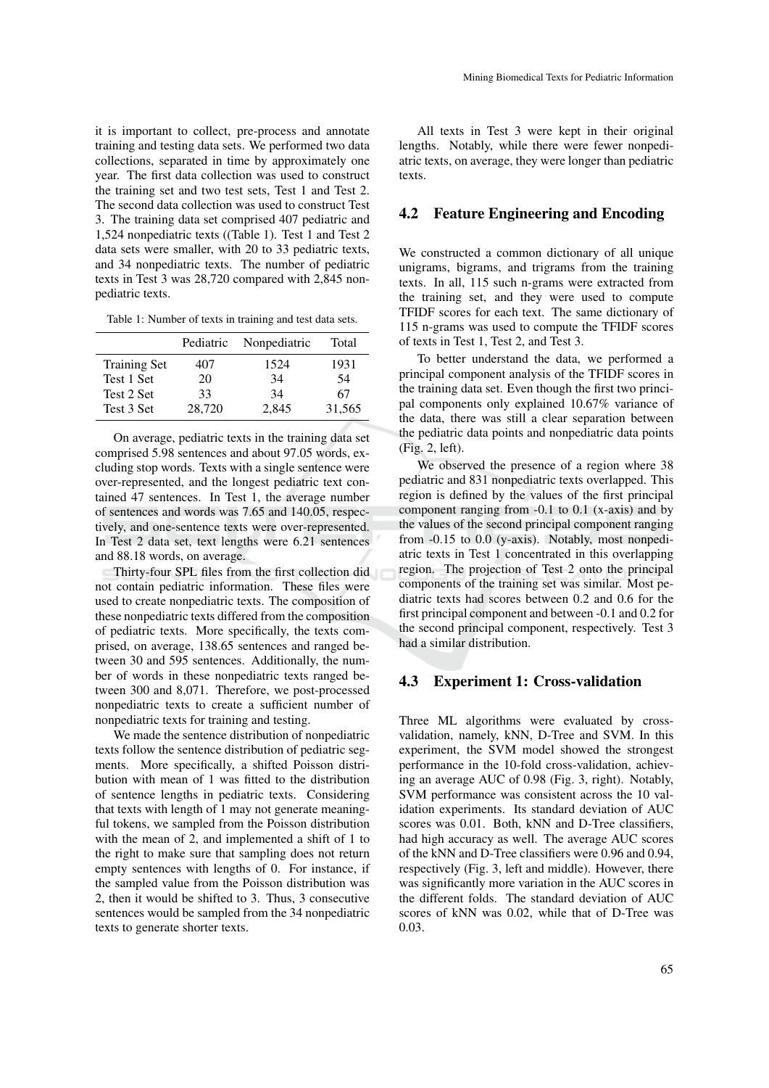it is important to collect, pre-process and annotate training and testing data sets. We performed two data collections, separated in time by approximately one year. The first data collection was used to construct the training set and two test sets, Test 1 and Test 2. The second data collection was used to construct Test 3. The training data set comprised 407 pediatric and 1,524 nonpediatric texts ((Table 1). Test 1 and Test 2 data sets were smaller, with 20 to 33 pediatric texts, and 34 nonpediatric texts. The number of pediatric texts in Test 3 was 28,720 compared with 2,845 nonpediatric texts.

Table 1: Number of texts in training and test data sets.

|                     | Pediatric | Nonpediatric | Total  |
|---------------------|-----------|--------------|--------|
| <b>Training Set</b> | 407       | 1524         | 1931   |
| Test 1 Set          | 20        | 34           | 54     |
| Test 2 Set          | 33        | 34           | 67     |
| Test 3 Set          | 28,720    | 2.845        | 31,565 |

On average, pediatric texts in the training data set comprised 5.98 sentences and about 97.05 words, excluding stop words. Texts with a single sentence were over-represented, and the longest pediatric text contained 47 sentences. In Test 1, the average number of sentences and words was 7.65 and 140.05, respectively, and one-sentence texts were over-represented. In Test 2 data set, text lengths were 6.21 sentences and 88.18 words, on average.

Thirty-four SPL files from the first collection did not contain pediatric information. These files were used to create nonpediatric texts. The composition of these nonpediatric texts differed from the composition of pediatric texts. More specifically, the texts comprised, on average, 138.65 sentences and ranged between 30 and 595 sentences. Additionally, the number of words in these nonpediatric texts ranged between 300 and 8,071. Therefore, we post-processed nonpediatric texts to create a sufficient number of nonpediatric texts for training and testing.

We made the sentence distribution of nonpediatric texts follow the sentence distribution of pediatric segments. More specifically, a shifted Poisson distribution with mean of 1 was fitted to the distribution of sentence lengths in pediatric texts. Considering that texts with length of 1 may not generate meaningful tokens, we sampled from the Poisson distribution with the mean of 2, and implemented a shift of 1 to the right to make sure that sampling does not return empty sentences with lengths of 0. For instance, if the sampled value from the Poisson distribution was 2, then it would be shifted to 3. Thus, 3 consecutive sentences would be sampled from the 34 nonpediatric texts to generate shorter texts.

All texts in Test 3 were kept in their original lengths. Notably, while there were fewer nonpediatric texts, on average, they were longer than pediatric texts.

## 4.2 Feature Engineering and Encoding

We constructed a common dictionary of all unique unigrams, bigrams, and trigrams from the training texts. In all, 115 such n-grams were extracted from the training set, and they were used to compute TFIDF scores for each text. The same dictionary of 115 n-grams was used to compute the TFIDF scores of texts in Test 1, Test 2, and Test 3.

To better understand the data, we performed a principal component analysis of the TFIDF scores in the training data set. Even though the first two principal components only explained 10.67% variance of the data, there was still a clear separation between the pediatric data points and nonpediatric data points (Fig. 2, left).

We observed the presence of a region where 38 pediatric and 831 nonpediatric texts overlapped. This region is defined by the values of the first principal component ranging from -0.1 to 0.1 (x-axis) and by the values of the second principal component ranging from -0.15 to 0.0 (y-axis). Notably, most nonpediatric texts in Test 1 concentrated in this overlapping region. The projection of Test 2 onto the principal components of the training set was similar. Most pediatric texts had scores between 0.2 and 0.6 for the first principal component and between -0.1 and 0.2 for the second principal component, respectively. Test 3 had a similar distribution.

#### 4.3 Experiment 1: Cross-validation

Three ML algorithms were evaluated by crossvalidation, namely, kNN, D-Tree and SVM. In this experiment, the SVM model showed the strongest performance in the 10-fold cross-validation, achieving an average AUC of 0.98 (Fig. 3, right). Notably, SVM performance was consistent across the 10 validation experiments. Its standard deviation of AUC scores was 0.01. Both, kNN and D-Tree classifiers, had high accuracy as well. The average AUC scores of the kNN and D-Tree classifiers were 0.96 and 0.94, respectively (Fig. 3, left and middle). However, there was significantly more variation in the AUC scores in the different folds. The standard deviation of AUC scores of kNN was 0.02, while that of D-Tree was 0.03.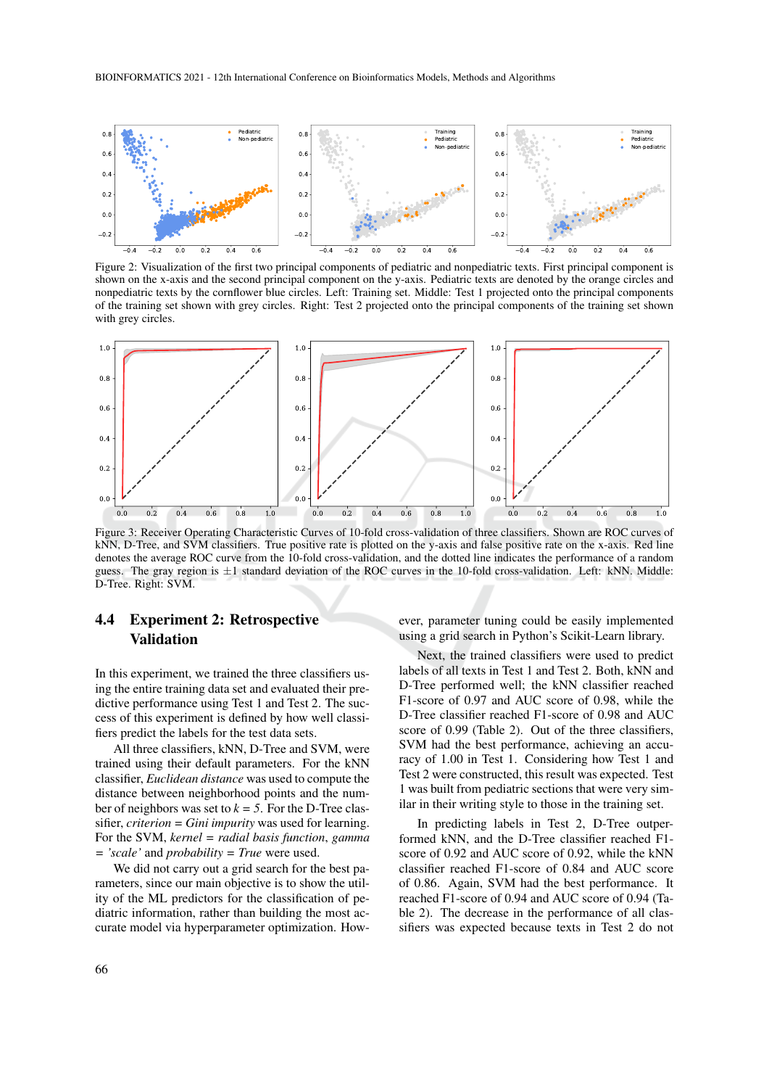

Figure 2: Visualization of the first two principal components of pediatric and nonpediatric texts. First principal component is shown on the x-axis and the second principal component on the y-axis. Pediatric texts are denoted by the orange circles and nonpediatric texts by the cornflower blue circles. Left: Training set. Middle: Test 1 projected onto the principal components of the training set shown with grey circles. Right: Test 2 projected onto the principal components of the training set shown with grey circles.



Figure 3: Receiver Operating Characteristic Curves of 10-fold cross-validation of three classifiers. Shown are ROC curves of kNN, D-Tree, and SVM classifiers. True positive rate is plotted on the y-axis and false positive rate on the x-axis. Red line denotes the average ROC curve from the 10-fold cross-validation, and the dotted line indicates the performance of a random guess. The gray region is  $\pm 1$  standard deviation of the ROC curves in the 10-fold cross-validation. Left: kNN. Middle: D-Tree. Right: SVM.

# 4.4 Experiment 2: Retrospective Validation

In this experiment, we trained the three classifiers using the entire training data set and evaluated their predictive performance using Test 1 and Test 2. The success of this experiment is defined by how well classifiers predict the labels for the test data sets.

All three classifiers, kNN, D-Tree and SVM, were trained using their default parameters. For the kNN classifier, *Euclidean distance* was used to compute the distance between neighborhood points and the number of neighbors was set to  $k = 5$ . For the D-Tree classifier, *criterion = Gini impurity* was used for learning. For the SVM, *kernel = radial basis function*, *gamma = 'scale'* and *probability = True* were used.

We did not carry out a grid search for the best parameters, since our main objective is to show the utility of the ML predictors for the classification of pediatric information, rather than building the most accurate model via hyperparameter optimization. However, parameter tuning could be easily implemented using a grid search in Python's Scikit-Learn library.

Next, the trained classifiers were used to predict labels of all texts in Test 1 and Test 2. Both, kNN and D-Tree performed well; the kNN classifier reached F1-score of 0.97 and AUC score of 0.98, while the D-Tree classifier reached F1-score of 0.98 and AUC score of 0.99 (Table 2). Out of the three classifiers, SVM had the best performance, achieving an accuracy of 1.00 in Test 1. Considering how Test 1 and Test 2 were constructed, this result was expected. Test 1 was built from pediatric sections that were very similar in their writing style to those in the training set.

In predicting labels in Test 2, D-Tree outperformed kNN, and the D-Tree classifier reached F1 score of 0.92 and AUC score of 0.92, while the kNN classifier reached F1-score of 0.84 and AUC score of 0.86. Again, SVM had the best performance. It reached F1-score of 0.94 and AUC score of 0.94 (Table 2). The decrease in the performance of all classifiers was expected because texts in Test 2 do not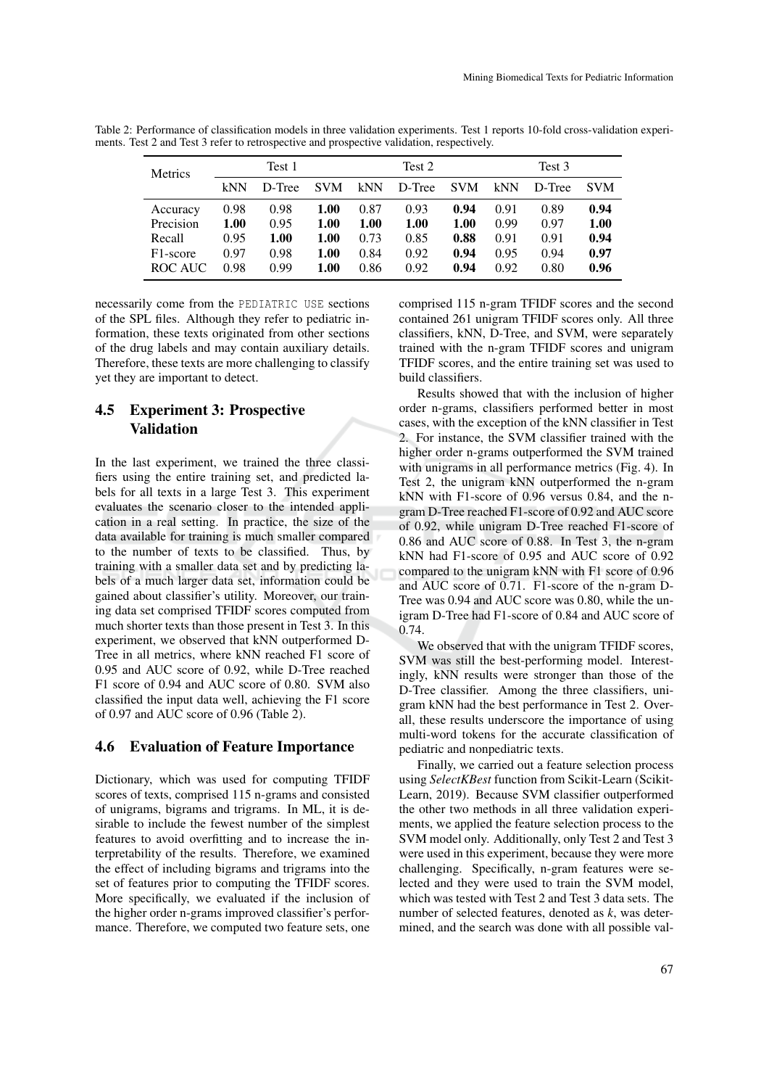| <b>Metrics</b>        | Test 1 |        |            | Test 2 |        | Test 3     |      |        |            |
|-----------------------|--------|--------|------------|--------|--------|------------|------|--------|------------|
|                       | kNN    | D-Tree | <b>SVM</b> | kNN    | D-Tree | <b>SVM</b> | kNN  | D-Tree | <b>SVM</b> |
| Accuracy              | 0.98   | 0.98   | 1.00       | 0.87   | 0.93   | 0.94       | 0.91 | 0.89   | 0.94       |
| Precision             | 1.00   | 0.95   | 1.00       | 1.00   | 1.00   | 1.00       | 0.99 | 0.97   | 1.00       |
| Recall                | 0.95   | 1.00   | 1.00       | 0.73   | 0.85   | 0.88       | 0.91 | 0.91   | 0.94       |
| F <sub>1</sub> -score | 0.97   | 0.98   | 1.00       | 0.84   | 0.92   | 0.94       | 0.95 | 0.94   | 0.97       |
| ROC AUC               | 0.98   | 0.99   | 1.00       | 0.86   | 0.92   | 0.94       | 0.92 | 0.80   | 0.96       |

Table 2: Performance of classification models in three validation experiments. Test 1 reports 10-fold cross-validation experiments. Test 2 and Test 3 refer to retrospective and prospective validation, respectively.

necessarily come from the PEDIATRIC USE sections of the SPL files. Although they refer to pediatric information, these texts originated from other sections of the drug labels and may contain auxiliary details. Therefore, these texts are more challenging to classify yet they are important to detect.

# 4.5 Experiment 3: Prospective Validation

In the last experiment, we trained the three classifiers using the entire training set, and predicted labels for all texts in a large Test 3. This experiment evaluates the scenario closer to the intended application in a real setting. In practice, the size of the data available for training is much smaller compared to the number of texts to be classified. Thus, by training with a smaller data set and by predicting labels of a much larger data set, information could be gained about classifier's utility. Moreover, our training data set comprised TFIDF scores computed from much shorter texts than those present in Test 3. In this experiment, we observed that kNN outperformed D-Tree in all metrics, where kNN reached F1 score of 0.95 and AUC score of 0.92, while D-Tree reached F1 score of 0.94 and AUC score of 0.80. SVM also classified the input data well, achieving the F1 score of 0.97 and AUC score of 0.96 (Table 2).

## 4.6 Evaluation of Feature Importance

Dictionary, which was used for computing TFIDF scores of texts, comprised 115 n-grams and consisted of unigrams, bigrams and trigrams. In ML, it is desirable to include the fewest number of the simplest features to avoid overfitting and to increase the interpretability of the results. Therefore, we examined the effect of including bigrams and trigrams into the set of features prior to computing the TFIDF scores. More specifically, we evaluated if the inclusion of the higher order n-grams improved classifier's performance. Therefore, we computed two feature sets, one comprised 115 n-gram TFIDF scores and the second contained 261 unigram TFIDF scores only. All three classifiers, kNN, D-Tree, and SVM, were separately trained with the n-gram TFIDF scores and unigram TFIDF scores, and the entire training set was used to build classifiers.

Results showed that with the inclusion of higher order n-grams, classifiers performed better in most cases, with the exception of the kNN classifier in Test 2. For instance, the SVM classifier trained with the higher order n-grams outperformed the SVM trained with unigrams in all performance metrics (Fig. 4). In Test 2, the unigram kNN outperformed the n-gram kNN with F1-score of 0.96 versus 0.84, and the ngram D-Tree reached F1-score of 0.92 and AUC score of 0.92, while unigram D-Tree reached F1-score of 0.86 and AUC score of 0.88. In Test 3, the n-gram kNN had F1-score of 0.95 and AUC score of 0.92 compared to the unigram kNN with F1 score of 0.96 and AUC score of 0.71. F1-score of the n-gram D-Tree was 0.94 and AUC score was 0.80, while the unigram D-Tree had F1-score of 0.84 and AUC score of 0.74.

We observed that with the unigram TFIDF scores, SVM was still the best-performing model. Interestingly, kNN results were stronger than those of the D-Tree classifier. Among the three classifiers, unigram kNN had the best performance in Test 2. Overall, these results underscore the importance of using multi-word tokens for the accurate classification of pediatric and nonpediatric texts.

Finally, we carried out a feature selection process using *SelectKBest* function from Scikit-Learn (Scikit-Learn, 2019). Because SVM classifier outperformed the other two methods in all three validation experiments, we applied the feature selection process to the SVM model only. Additionally, only Test 2 and Test 3 were used in this experiment, because they were more challenging. Specifically, n-gram features were selected and they were used to train the SVM model, which was tested with Test 2 and Test 3 data sets. The number of selected features, denoted as *k*, was determined, and the search was done with all possible val-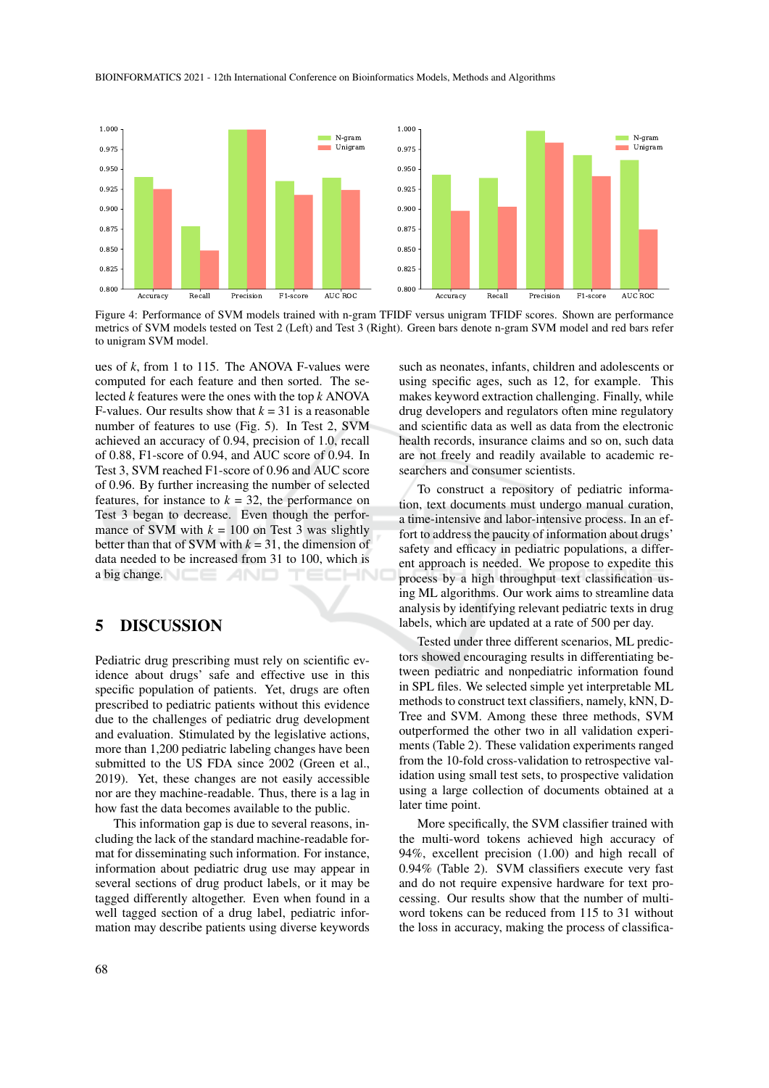#### BIOINFORMATICS 2021 - 12th International Conference on Bioinformatics Models, Methods and Algorithms



Figure 4: Performance of SVM models trained with n-gram TFIDF versus unigram TFIDF scores. Shown are performance metrics of SVM models tested on Test 2 (Left) and Test 3 (Right). Green bars denote n-gram SVM model and red bars refer to unigram SVM model.

ues of *k*, from 1 to 115. The ANOVA F-values were computed for each feature and then sorted. The selected *k* features were the ones with the top *k* ANOVA F-values. Our results show that  $k = 31$  is a reasonable number of features to use (Fig. 5). In Test 2, SVM achieved an accuracy of 0.94, precision of 1.0, recall of 0.88, F1-score of 0.94, and AUC score of 0.94. In Test 3, SVM reached F1-score of 0.96 and AUC score of 0.96. By further increasing the number of selected features, for instance to  $k = 32$ , the performance on Test 3 began to decrease. Even though the performance of SVM with  $k = 100$  on Test 3 was slightly better than that of SVM with  $k = 31$ , the dimension of data needed to be increased from 31 to 100, which is a big change.

## 5 DISCUSSION

Pediatric drug prescribing must rely on scientific evidence about drugs' safe and effective use in this specific population of patients. Yet, drugs are often prescribed to pediatric patients without this evidence due to the challenges of pediatric drug development and evaluation. Stimulated by the legislative actions, more than 1,200 pediatric labeling changes have been submitted to the US FDA since 2002 (Green et al., 2019). Yet, these changes are not easily accessible nor are they machine-readable. Thus, there is a lag in how fast the data becomes available to the public.

This information gap is due to several reasons, including the lack of the standard machine-readable format for disseminating such information. For instance, information about pediatric drug use may appear in several sections of drug product labels, or it may be tagged differently altogether. Even when found in a well tagged section of a drug label, pediatric information may describe patients using diverse keywords

such as neonates, infants, children and adolescents or using specific ages, such as 12, for example. This makes keyword extraction challenging. Finally, while drug developers and regulators often mine regulatory and scientific data as well as data from the electronic health records, insurance claims and so on, such data are not freely and readily available to academic researchers and consumer scientists.

To construct a repository of pediatric information, text documents must undergo manual curation, a time-intensive and labor-intensive process. In an effort to address the paucity of information about drugs' safety and efficacy in pediatric populations, a different approach is needed. We propose to expedite this process by a high throughput text classification using ML algorithms. Our work aims to streamline data analysis by identifying relevant pediatric texts in drug labels, which are updated at a rate of 500 per day.

Tested under three different scenarios, ML predictors showed encouraging results in differentiating between pediatric and nonpediatric information found in SPL files. We selected simple yet interpretable ML methods to construct text classifiers, namely, kNN, D-Tree and SVM. Among these three methods, SVM outperformed the other two in all validation experiments (Table 2). These validation experiments ranged from the 10-fold cross-validation to retrospective validation using small test sets, to prospective validation using a large collection of documents obtained at a later time point.

More specifically, the SVM classifier trained with the multi-word tokens achieved high accuracy of 94%, excellent precision (1.00) and high recall of 0.94% (Table 2). SVM classifiers execute very fast and do not require expensive hardware for text processing. Our results show that the number of multiword tokens can be reduced from 115 to 31 without the loss in accuracy, making the process of classifica-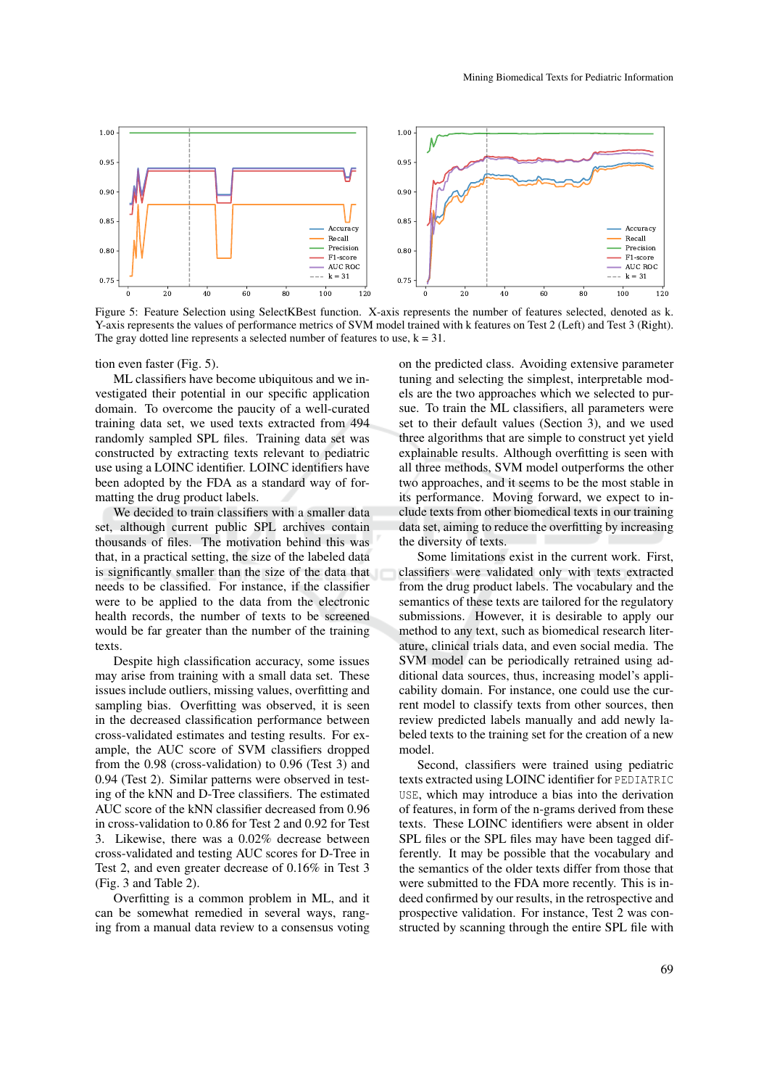

Figure 5: Feature Selection using SelectKBest function. X-axis represents the number of features selected, denoted as k. Y-axis represents the values of performance metrics of SVM model trained with k features on Test 2 (Left) and Test 3 (Right). The gray dotted line represents a selected number of features to use,  $k = 31$ .

tion even faster (Fig. 5).

ML classifiers have become ubiquitous and we investigated their potential in our specific application domain. To overcome the paucity of a well-curated training data set, we used texts extracted from 494 randomly sampled SPL files. Training data set was constructed by extracting texts relevant to pediatric use using a LOINC identifier. LOINC identifiers have been adopted by the FDA as a standard way of formatting the drug product labels.

We decided to train classifiers with a smaller data set, although current public SPL archives contain thousands of files. The motivation behind this was that, in a practical setting, the size of the labeled data is significantly smaller than the size of the data that needs to be classified. For instance, if the classifier were to be applied to the data from the electronic health records, the number of texts to be screened would be far greater than the number of the training texts.

Despite high classification accuracy, some issues may arise from training with a small data set. These issues include outliers, missing values, overfitting and sampling bias. Overfitting was observed, it is seen in the decreased classification performance between cross-validated estimates and testing results. For example, the AUC score of SVM classifiers dropped from the 0.98 (cross-validation) to 0.96 (Test 3) and 0.94 (Test 2). Similar patterns were observed in testing of the kNN and D-Tree classifiers. The estimated AUC score of the kNN classifier decreased from 0.96 in cross-validation to 0.86 for Test 2 and 0.92 for Test 3. Likewise, there was a 0.02% decrease between cross-validated and testing AUC scores for D-Tree in Test 2, and even greater decrease of 0.16% in Test 3 (Fig. 3 and Table 2).

Overfitting is a common problem in ML, and it can be somewhat remedied in several ways, ranging from a manual data review to a consensus voting

on the predicted class. Avoiding extensive parameter tuning and selecting the simplest, interpretable models are the two approaches which we selected to pursue. To train the ML classifiers, all parameters were set to their default values (Section 3), and we used three algorithms that are simple to construct yet yield explainable results. Although overfitting is seen with all three methods, SVM model outperforms the other two approaches, and it seems to be the most stable in its performance. Moving forward, we expect to include texts from other biomedical texts in our training data set, aiming to reduce the overfitting by increasing the diversity of texts.

Some limitations exist in the current work. First, classifiers were validated only with texts extracted from the drug product labels. The vocabulary and the semantics of these texts are tailored for the regulatory submissions. However, it is desirable to apply our method to any text, such as biomedical research literature, clinical trials data, and even social media. The SVM model can be periodically retrained using additional data sources, thus, increasing model's applicability domain. For instance, one could use the current model to classify texts from other sources, then review predicted labels manually and add newly labeled texts to the training set for the creation of a new model.

Second, classifiers were trained using pediatric texts extracted using LOINC identifier for PEDIATRIC USE, which may introduce a bias into the derivation of features, in form of the n-grams derived from these texts. These LOINC identifiers were absent in older SPL files or the SPL files may have been tagged differently. It may be possible that the vocabulary and the semantics of the older texts differ from those that were submitted to the FDA more recently. This is indeed confirmed by our results, in the retrospective and prospective validation. For instance, Test 2 was constructed by scanning through the entire SPL file with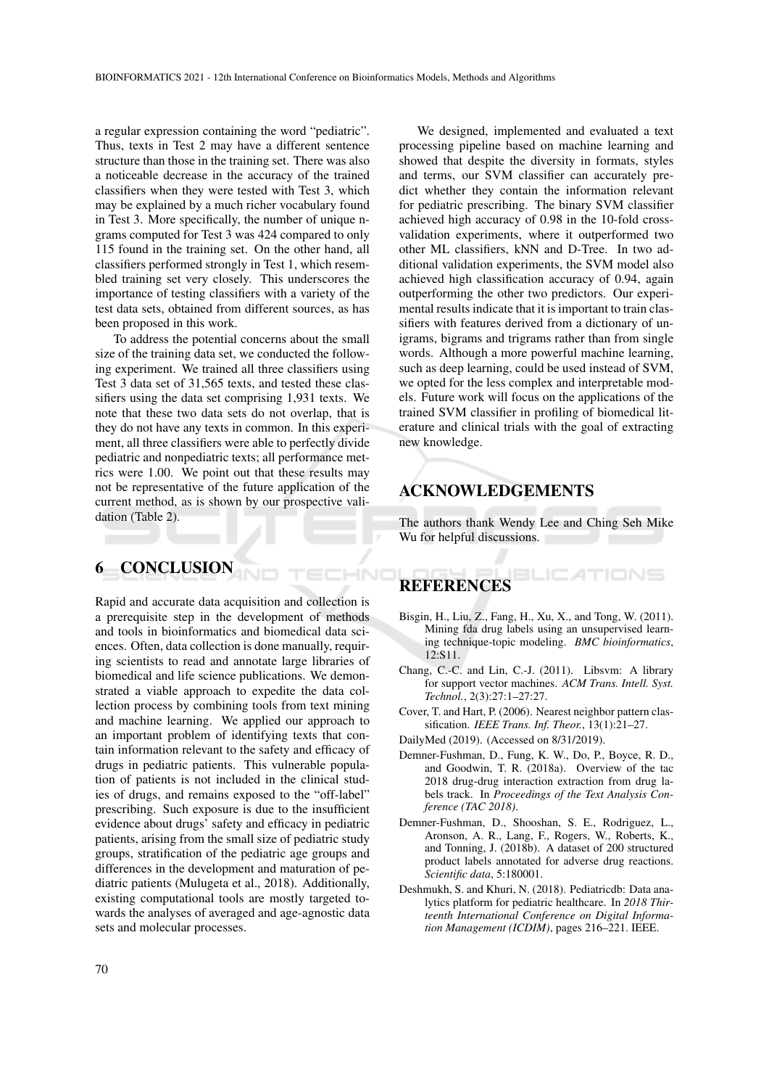a regular expression containing the word "pediatric". Thus, texts in Test 2 may have a different sentence structure than those in the training set. There was also a noticeable decrease in the accuracy of the trained classifiers when they were tested with Test 3, which may be explained by a much richer vocabulary found in Test 3. More specifically, the number of unique ngrams computed for Test 3 was 424 compared to only 115 found in the training set. On the other hand, all classifiers performed strongly in Test 1, which resembled training set very closely. This underscores the importance of testing classifiers with a variety of the test data sets, obtained from different sources, as has been proposed in this work.

To address the potential concerns about the small size of the training data set, we conducted the following experiment. We trained all three classifiers using Test 3 data set of 31,565 texts, and tested these classifiers using the data set comprising 1,931 texts. We note that these two data sets do not overlap, that is they do not have any texts in common. In this experiment, all three classifiers were able to perfectly divide pediatric and nonpediatric texts; all performance metrics were 1.00. We point out that these results may not be representative of the future application of the current method, as is shown by our prospective validation (Table 2).

## 6 CONCLUSION

Rapid and accurate data acquisition and collection is a prerequisite step in the development of methods and tools in bioinformatics and biomedical data sciences. Often, data collection is done manually, requiring scientists to read and annotate large libraries of biomedical and life science publications. We demonstrated a viable approach to expedite the data collection process by combining tools from text mining and machine learning. We applied our approach to an important problem of identifying texts that contain information relevant to the safety and efficacy of drugs in pediatric patients. This vulnerable population of patients is not included in the clinical studies of drugs, and remains exposed to the "off-label" prescribing. Such exposure is due to the insufficient evidence about drugs' safety and efficacy in pediatric patients, arising from the small size of pediatric study groups, stratification of the pediatric age groups and differences in the development and maturation of pediatric patients (Mulugeta et al., 2018). Additionally, existing computational tools are mostly targeted towards the analyses of averaged and age-agnostic data sets and molecular processes.

We designed, implemented and evaluated a text processing pipeline based on machine learning and showed that despite the diversity in formats, styles and terms, our SVM classifier can accurately predict whether they contain the information relevant for pediatric prescribing. The binary SVM classifier achieved high accuracy of 0.98 in the 10-fold crossvalidation experiments, where it outperformed two other ML classifiers, kNN and D-Tree. In two additional validation experiments, the SVM model also achieved high classification accuracy of 0.94, again outperforming the other two predictors. Our experimental results indicate that it is important to train classifiers with features derived from a dictionary of unigrams, bigrams and trigrams rather than from single words. Although a more powerful machine learning, such as deep learning, could be used instead of SVM, we opted for the less complex and interpretable models. Future work will focus on the applications of the trained SVM classifier in profiling of biomedical literature and clinical trials with the goal of extracting new knowledge.

# ACKNOWLEDGEMENTS

The authors thank Wendy Lee and Ching Seh Mike Wu for helpful discussions.

#### BLIC ATIONS **REFERENCES**

ECHNO

- Bisgin, H., Liu, Z., Fang, H., Xu, X., and Tong, W. (2011). Mining fda drug labels using an unsupervised learning technique-topic modeling. *BMC bioinformatics*, 12:S11.
- Chang, C.-C. and Lin, C.-J. (2011). Libsvm: A library for support vector machines. *ACM Trans. Intell. Syst. Technol.*, 2(3):27:1–27:27.
- Cover, T. and Hart, P. (2006). Nearest neighbor pattern classification. *IEEE Trans. Inf. Theor.*, 13(1):21–27.
- DailyMed (2019). (Accessed on 8/31/2019).
- Demner-Fushman, D., Fung, K. W., Do, P., Boyce, R. D., and Goodwin, T. R. (2018a). Overview of the tac 2018 drug-drug interaction extraction from drug labels track. In *Proceedings of the Text Analysis Conference (TAC 2018)*.
- Demner-Fushman, D., Shooshan, S. E., Rodriguez, L., Aronson, A. R., Lang, F., Rogers, W., Roberts, K., and Tonning, J. (2018b). A dataset of 200 structured product labels annotated for adverse drug reactions. *Scientific data*, 5:180001.
- Deshmukh, S. and Khuri, N. (2018). Pediatricdb: Data analytics platform for pediatric healthcare. In *2018 Thirteenth International Conference on Digital Information Management (ICDIM)*, pages 216–221. IEEE.